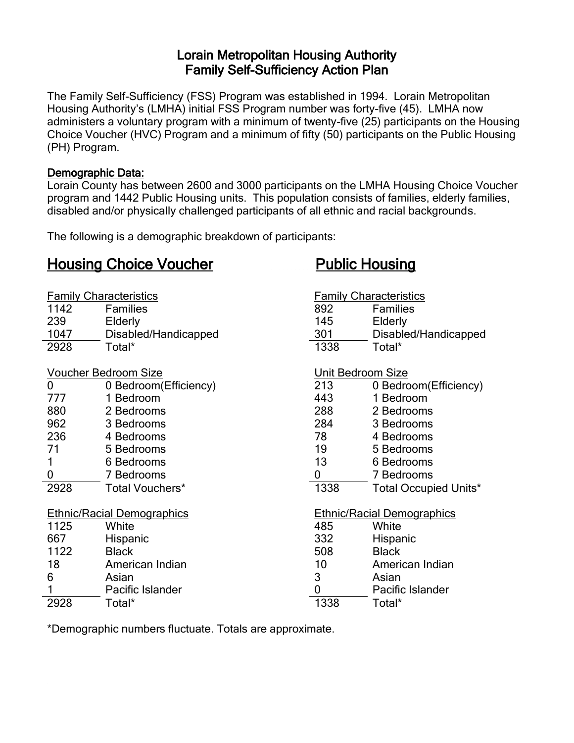# Lorain Metropolitan Housing Authority Family Self-Sufficiency Action Plan

The Family Self-Sufficiency (FSS) Program was established in 1994. Lorain Metropolitan Housing Authority's (LMHA) initial FSS Program number was forty-five (45). LMHA now administers a voluntary program with a minimum of twenty-five (25) participants on the Housing Choice Voucher (HVC) Program and a minimum of fifty (50) participants on the Public Housing (PH) Program.

#### Demographic Data:

Lorain County has between 2600 and 3000 participants on the LMHA Housing Choice Voucher program and 1442 Public Housing units. This population consists of families, elderly families, disabled and/or physically challenged participants of all ethnic and racial backgrounds.

The following is a demographic breakdown of participants:

# Housing Choice Voucher Public Housing

| <b>Family Characteristics</b>     |                        | <b>Family Characteristics</b>     |                              |
|-----------------------------------|------------------------|-----------------------------------|------------------------------|
| 1142                              | <b>Families</b>        | 892                               | <b>Families</b>              |
| 239                               | Elderly                | 145                               | Elderly                      |
| 1047                              | Disabled/Handicapped   | 301                               | Disabled/Handicapped         |
| 2928                              | Total*                 | 1338                              | Total*                       |
| <b>Voucher Bedroom Size</b>       |                        | <b>Unit Bedroom Size</b>          |                              |
| $\overline{0}$                    | 0 Bedroom (Efficiency) | 213                               | 0 Bedroom (Efficiency)       |
| 777                               | 1 Bedroom              | 443                               | 1 Bedroom                    |
| 880                               | 2 Bedrooms             | 288                               | 2 Bedrooms                   |
| 962                               | 3 Bedrooms             | 284                               | 3 Bedrooms                   |
| 236                               | 4 Bedrooms             | 78                                | 4 Bedrooms                   |
| 71                                | 5 Bedrooms             | 19                                | 5 Bedrooms                   |
| 1                                 | 6 Bedrooms             | 13                                | 6 Bedrooms                   |
| 0                                 | 7 Bedrooms             | 0                                 | 7 Bedrooms                   |
| 2928                              | Total Vouchers*        | 1338                              | <b>Total Occupied Units*</b> |
| <b>Ethnic/Racial Demographics</b> |                        | <b>Ethnic/Racial Demographics</b> |                              |
| 1125                              | White                  | 485                               | White                        |
| 667                               | Hispanic               | 332                               | Hispanic                     |
| 1122                              | <b>Black</b>           | 508                               | <b>Black</b>                 |
| 18                                | American Indian        | 10                                | American Indian              |
| 6                                 | Asian                  | 3                                 | Asian                        |
|                                   | Pacific Islander       | 0                                 | Pacific Islander             |
| 2928                              | Total*                 | 1338                              | Total*                       |

\*Demographic numbers fluctuate. Totals are approximate.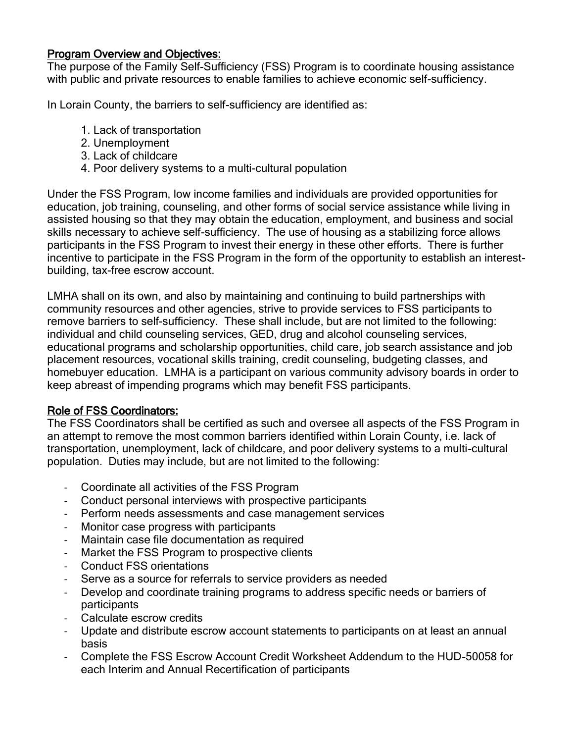# Program Overview and Objectives:

The purpose of the Family Self-Sufficiency (FSS) Program is to coordinate housing assistance with public and private resources to enable families to achieve economic self-sufficiency.

In Lorain County, the barriers to self-sufficiency are identified as:

- 1. Lack of transportation
- 2. Unemployment
- 3. Lack of childcare
- 4. Poor delivery systems to a multi-cultural population

Under the FSS Program, low income families and individuals are provided opportunities for education, job training, counseling, and other forms of social service assistance while living in assisted housing so that they may obtain the education, employment, and business and social skills necessary to achieve self-sufficiency. The use of housing as a stabilizing force allows participants in the FSS Program to invest their energy in these other efforts. There is further incentive to participate in the FSS Program in the form of the opportunity to establish an interestbuilding, tax-free escrow account.

LMHA shall on its own, and also by maintaining and continuing to build partnerships with community resources and other agencies, strive to provide services to FSS participants to remove barriers to self-sufficiency. These shall include, but are not limited to the following: individual and child counseling services, GED, drug and alcohol counseling services, educational programs and scholarship opportunities, child care, job search assistance and job placement resources, vocational skills training, credit counseling, budgeting classes, and homebuyer education. LMHA is a participant on various community advisory boards in order to keep abreast of impending programs which may benefit FSS participants.

#### Role of FSS Coordinators:

The FSS Coordinators shall be certified as such and oversee all aspects of the FSS Program in an attempt to remove the most common barriers identified within Lorain County, i.e. lack of transportation, unemployment, lack of childcare, and poor delivery systems to a multi-cultural population. Duties may include, but are not limited to the following:

- Coordinate all activities of the FSS Program
- Conduct personal interviews with prospective participants
- Perform needs assessments and case management services
- Monitor case progress with participants
- Maintain case file documentation as required
- Market the FSS Program to prospective clients
- Conduct FSS orientations
- Serve as a source for referrals to service providers as needed
- Develop and coordinate training programs to address specific needs or barriers of participants
- Calculate escrow credits
- Update and distribute escrow account statements to participants on at least an annual basis
- Complete the FSS Escrow Account Credit Worksheet Addendum to the HUD-50058 for each Interim and Annual Recertification of participants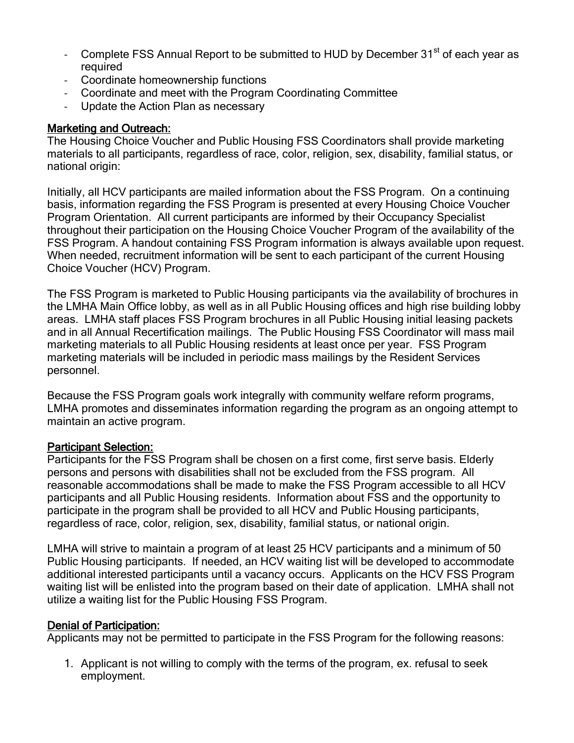- Complete FSS Annual Report to be submitted to HUD by December 31<sup>st</sup> of each year as required
- Coordinate homeownership functions
- Coordinate and meet with the Program Coordinating Committee
- Update the Action Plan as necessary

# Marketing and Outreach:

The Housing Choice Voucher and Public Housing FSS Coordinators shall provide marketing materials to all participants, regardless of race, color, religion, sex, disability, familial status, or national origin:

Initially, all HCV participants are mailed information about the FSS Program. On a continuing basis, information regarding the FSS Program is presented at every Housing Choice Voucher Program Orientation. All current participants are informed by their Occupancy Specialist throughout their participation on the Housing Choice Voucher Program of the availability of the FSS Program. A handout containing FSS Program information is always available upon request. When needed, recruitment information will be sent to each participant of the current Housing Choice Voucher (HCV) Program.

The FSS Program is marketed to Public Housing participants via the availability of brochures in the LMHA Main Office lobby, as well as in all Public Housing offices and high rise building lobby areas. LMHA staff places FSS Program brochures in all Public Housing initial leasing packets and in all Annual Recertification mailings. The Public Housing FSS Coordinator will mass mail marketing materials to all Public Housing residents at least once per year. FSS Program marketing materials will be included in periodic mass mailings by the Resident Services personnel.

Because the FSS Program goals work integrally with community welfare reform programs, LMHA promotes and disseminates information regarding the program as an ongoing attempt to maintain an active program.

#### Participant Selection:

Participants for the FSS Program shall be chosen on a first come, first serve basis. Elderly persons and persons with disabilities shall not be excluded from the FSS program. All reasonable accommodations shall be made to make the FSS Program accessible to all HCV participants and all Public Housing residents. Information about FSS and the opportunity to participate in the program shall be provided to all HCV and Public Housing participants, regardless of race, color, religion, sex, disability, familial status, or national origin.

LMHA will strive to maintain a program of at least 25 HCV participants and a minimum of 50 Public Housing participants. If needed, an HCV waiting list will be developed to accommodate additional interested participants until a vacancy occurs. Applicants on the HCV FSS Program waiting list will be enlisted into the program based on their date of application. LMHA shall not utilize a waiting list for the Public Housing FSS Program.

#### Denial of Participation:

Applicants may not be permitted to participate in the FSS Program for the following reasons:

1. Applicant is not willing to comply with the terms of the program, ex. refusal to seek employment.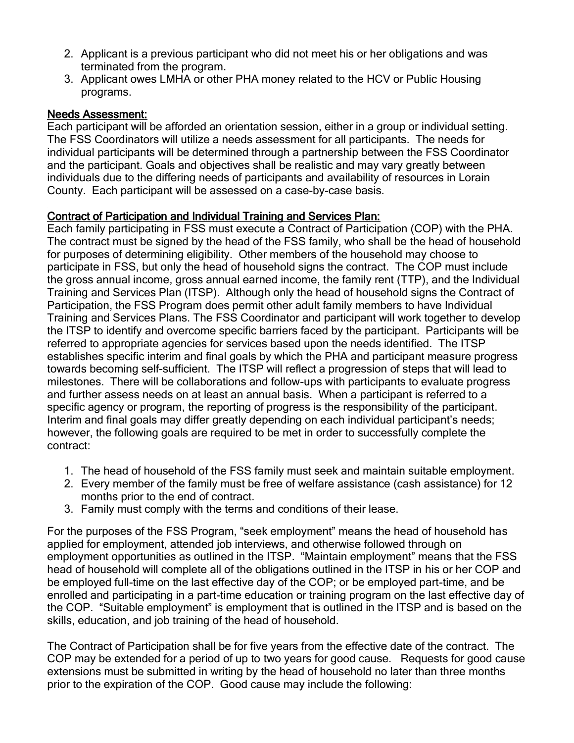- 2. Applicant is a previous participant who did not meet his or her obligations and was terminated from the program.
- 3. Applicant owes LMHA or other PHA money related to the HCV or Public Housing programs.

# Needs Assessment:

Each participant will be afforded an orientation session, either in a group or individual setting. The FSS Coordinators will utilize a needs assessment for all participants. The needs for individual participants will be determined through a partnership between the FSS Coordinator and the participant. Goals and objectives shall be realistic and may vary greatly between individuals due to the differing needs of participants and availability of resources in Lorain County. Each participant will be assessed on a case-by-case basis.

# Contract of Participation and Individual Training and Services Plan:

Each family participating in FSS must execute a Contract of Participation (COP) with the PHA. The contract must be signed by the head of the FSS family, who shall be the head of household for purposes of determining eligibility. Other members of the household may choose to participate in FSS, but only the head of household signs the contract. The COP must include the gross annual income, gross annual earned income, the family rent (TTP), and the Individual Training and Services Plan (ITSP). Although only the head of household signs the Contract of Participation, the FSS Program does permit other adult family members to have Individual Training and Services Plans. The FSS Coordinator and participant will work together to develop the ITSP to identify and overcome specific barriers faced by the participant. Participants will be referred to appropriate agencies for services based upon the needs identified. The ITSP establishes specific interim and final goals by which the PHA and participant measure progress towards becoming self-sufficient. The ITSP will reflect a progression of steps that will lead to milestones. There will be collaborations and follow-ups with participants to evaluate progress and further assess needs on at least an annual basis. When a participant is referred to a specific agency or program, the reporting of progress is the responsibility of the participant. Interim and final goals may differ greatly depending on each individual participant's needs; however, the following goals are required to be met in order to successfully complete the contract:

- 1. The head of household of the FSS family must seek and maintain suitable employment.
- 2. Every member of the family must be free of welfare assistance (cash assistance) for 12 months prior to the end of contract.
- 3. Family must comply with the terms and conditions of their lease.

For the purposes of the FSS Program, "seek employment" means the head of household has applied for employment, attended job interviews, and otherwise followed through on employment opportunities as outlined in the ITSP. "Maintain employment" means that the FSS head of household will complete all of the obligations outlined in the ITSP in his or her COP and be employed full-time on the last effective day of the COP; or be employed part-time, and be enrolled and participating in a part-time education or training program on the last effective day of the COP. "Suitable employment" is employment that is outlined in the ITSP and is based on the skills, education, and job training of the head of household.

The Contract of Participation shall be for five years from the effective date of the contract. The COP may be extended for a period of up to two years for good cause. Requests for good cause extensions must be submitted in writing by the head of household no later than three months prior to the expiration of the COP. Good cause may include the following: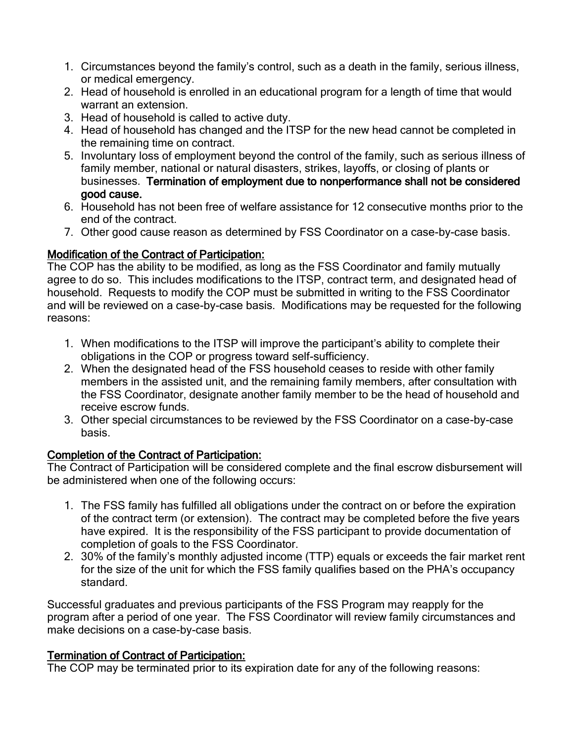- 1. Circumstances beyond the family's control, such as a death in the family, serious illness, or medical emergency.
- 2. Head of household is enrolled in an educational program for a length of time that would warrant an extension.
- 3. Head of household is called to active duty.
- 4. Head of household has changed and the ITSP for the new head cannot be completed in the remaining time on contract.
- 5. Involuntary loss of employment beyond the control of the family, such as serious illness of family member, national or natural disasters, strikes, layoffs, or closing of plants or businesses. Termination of employment due to nonperformance shall not be considered good cause.
- 6. Household has not been free of welfare assistance for 12 consecutive months prior to the end of the contract.
- 7. Other good cause reason as determined by FSS Coordinator on a case-by-case basis.

# Modification of the Contract of Participation:

The COP has the ability to be modified, as long as the FSS Coordinator and family mutually agree to do so. This includes modifications to the ITSP, contract term, and designated head of household. Requests to modify the COP must be submitted in writing to the FSS Coordinator and will be reviewed on a case-by-case basis. Modifications may be requested for the following reasons:

- 1. When modifications to the ITSP will improve the participant's ability to complete their obligations in the COP or progress toward self-sufficiency.
- 2. When the designated head of the FSS household ceases to reside with other family members in the assisted unit, and the remaining family members, after consultation with the FSS Coordinator, designate another family member to be the head of household and receive escrow funds.
- 3. Other special circumstances to be reviewed by the FSS Coordinator on a case-by-case basis.

# Completion of the Contract of Participation:

The Contract of Participation will be considered complete and the final escrow disbursement will be administered when one of the following occurs:

- 1. The FSS family has fulfilled all obligations under the contract on or before the expiration of the contract term (or extension). The contract may be completed before the five years have expired. It is the responsibility of the FSS participant to provide documentation of completion of goals to the FSS Coordinator.
- 2. 30% of the family's monthly adjusted income (TTP) equals or exceeds the fair market rent for the size of the unit for which the FSS family qualifies based on the PHA's occupancy standard.

Successful graduates and previous participants of the FSS Program may reapply for the program after a period of one year. The FSS Coordinator will review family circumstances and make decisions on a case-by-case basis.

# Termination of Contract of Participation:

The COP may be terminated prior to its expiration date for any of the following reasons: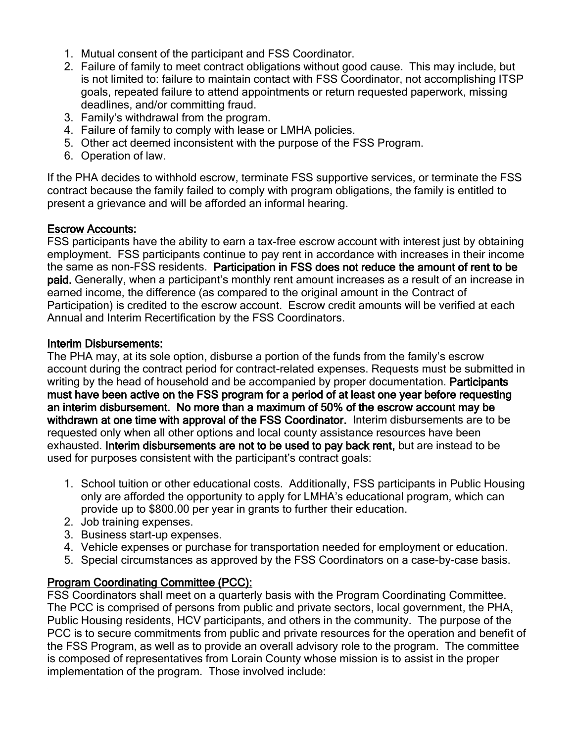- 1. Mutual consent of the participant and FSS Coordinator.
- 2. Failure of family to meet contract obligations without good cause. This may include, but is not limited to: failure to maintain contact with FSS Coordinator, not accomplishing ITSP goals, repeated failure to attend appointments or return requested paperwork, missing deadlines, and/or committing fraud.
- 3. Family's withdrawal from the program.
- 4. Failure of family to comply with lease or LMHA policies.
- 5. Other act deemed inconsistent with the purpose of the FSS Program.
- 6. Operation of law.

If the PHA decides to withhold escrow, terminate FSS supportive services, or terminate the FSS contract because the family failed to comply with program obligations, the family is entitled to present a grievance and will be afforded an informal hearing.

# Escrow Accounts:

FSS participants have the ability to earn a tax-free escrow account with interest just by obtaining employment. FSS participants continue to pay rent in accordance with increases in their income the same as non-FSS residents. Participation in FSS does not reduce the amount of rent to be paid. Generally, when a participant's monthly rent amount increases as a result of an increase in earned income, the difference (as compared to the original amount in the Contract of Participation) is credited to the escrow account. Escrow credit amounts will be verified at each Annual and Interim Recertification by the FSS Coordinators.

# Interim Disbursements:

The PHA may, at its sole option, disburse a portion of the funds from the family's escrow account during the contract period for contract-related expenses. Requests must be submitted in writing by the head of household and be accompanied by proper documentation. Participants must have been active on the FSS program for a period of at least one year before requesting an interim disbursement. No more than a maximum of 50% of the escrow account may be withdrawn at one time with approval of the FSS Coordinator. Interim disbursements are to be requested only when all other options and local county assistance resources have been exhausted. Interim disbursements are not to be used to pay back rent, but are instead to be used for purposes consistent with the participant's contract goals:

- 1. School tuition or other educational costs. Additionally, FSS participants in Public Housing only are afforded the opportunity to apply for LMHA's educational program, which can provide up to \$800.00 per year in grants to further their education.
- 2. Job training expenses.
- 3. Business start-up expenses.
- 4. Vehicle expenses or purchase for transportation needed for employment or education.
- 5. Special circumstances as approved by the FSS Coordinators on a case-by-case basis.

# Program Coordinating Committee (PCC):

FSS Coordinators shall meet on a quarterly basis with the Program Coordinating Committee. The PCC is comprised of persons from public and private sectors, local government, the PHA, Public Housing residents, HCV participants, and others in the community. The purpose of the PCC is to secure commitments from public and private resources for the operation and benefit of the FSS Program, as well as to provide an overall advisory role to the program. The committee is composed of representatives from Lorain County whose mission is to assist in the proper implementation of the program. Those involved include: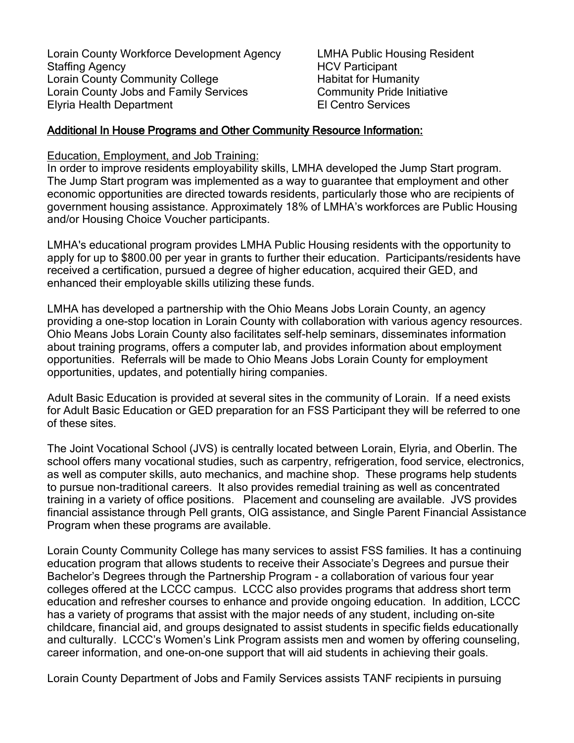Lorain County Workforce Development Agency LMHA Public Housing Resident Staffing Agency **Example 20** and the HCV Participant Lorain County Community College Habitat for Humanity Lorain County Jobs and Family Services<br>
Floria Health Department<br>
Fl Centro Services Elyria Health Department

#### Additional In House Programs and Other Community Resource Information:

Education, Employment, and Job Training:

In order to improve residents employability skills, LMHA developed the Jump Start program. The Jump Start program was implemented as a way to guarantee that employment and other economic opportunities are directed towards residents, particularly those who are recipients of government housing assistance. Approximately 18% of LMHA's workforces are Public Housing and/or Housing Choice Voucher participants.

LMHA's educational program provides LMHA Public Housing residents with the opportunity to apply for up to \$800.00 per year in grants to further their education. Participants/residents have received a certification, pursued a degree of higher education, acquired their GED, and enhanced their employable skills utilizing these funds.

LMHA has developed a partnership with the Ohio Means Jobs Lorain County, an agency providing a one-stop location in Lorain County with collaboration with various agency resources. Ohio Means Jobs Lorain County also facilitates self-help seminars, disseminates information about training programs, offers a computer lab, and provides information about employment opportunities. Referrals will be made to Ohio Means Jobs Lorain County for employment opportunities, updates, and potentially hiring companies.

Adult Basic Education is provided at several sites in the community of Lorain. If a need exists for Adult Basic Education or GED preparation for an FSS Participant they will be referred to one of these sites.

The Joint Vocational School (JVS) is centrally located between Lorain, Elyria, and Oberlin. The school offers many vocational studies, such as carpentry, refrigeration, food service, electronics, as well as computer skills, auto mechanics, and machine shop. These programs help students to pursue non-traditional careers. It also provides remedial training as well as concentrated training in a variety of office positions. Placement and counseling are available. JVS provides financial assistance through Pell grants, OIG assistance, and Single Parent Financial Assistance Program when these programs are available.

Lorain County Community College has many services to assist FSS families. It has a continuing education program that allows students to receive their Associate's Degrees and pursue their Bachelor's Degrees through the Partnership Program - a collaboration of various four year colleges offered at the LCCC campus. LCCC also provides programs that address short term education and refresher courses to enhance and provide ongoing education. In addition, LCCC has a variety of programs that assist with the major needs of any student, including on-site childcare, financial aid, and groups designated to assist students in specific fields educationally and culturally. LCCC's Women's Link Program assists men and women by offering counseling, career information, and one-on-one support that will aid students in achieving their goals.

Lorain County Department of Jobs and Family Services assists TANF recipients in pursuing